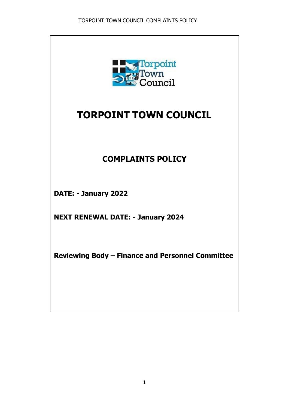

# **TORPOINT TOWN COUNCIL**

## **COMPLAINTS POLICY**

**DATE: - January 2022**

**NEXT RENEWAL DATE: - January 2024**

**Reviewing Body – Finance and Personnel Committee**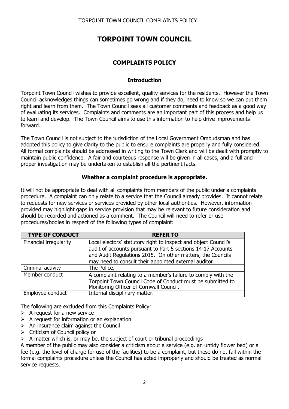### **TORPOINT TOWN COUNCIL**

### **COMPLAINTS POLICY**

#### **Introduction**

Torpoint Town Council wishes to provide excellent, quality services for the residents. However the Town Council acknowledges things can sometimes go wrong and if they do, need to know so we can put them right and learn from them. The Town Council sees all customer comments and feedback as a good way of evaluating its services. Complaints and comments are an important part of this process and help us to learn and develop. The Town Council aims to use this information to help drive improvements forward.

The Town Council is not subject to the jurisdiction of the Local Government Ombudsman and has adopted this policy to give clarity to the public to ensure complaints are properly and fully considered. All formal complaints should be addressed in writing to the Town Clerk and will be dealt with promptly to maintain public confidence. A fair and courteous response will be given in all cases, and a full and proper investigation may be undertaken to establish all the pertinent facts.

#### **Whether a complaint procedure is appropriate.**

It will not be appropriate to deal with all complaints from members of the public under a complaints procedure. A complaint can only relate to a service that the Council already provides. It cannot relate to requests for new services or services provided by other local authorities. However, information provided may highlight gaps in service provision that may be relevant to future consideration and should be recorded and actioned as a comment. The Council will need to refer or use procedures/bodies in respect of the following types of complaint:

| <b>TYPE OF CONDUCT</b> | <b>REFER TO</b>                                                                                                                                                                                                                                        |
|------------------------|--------------------------------------------------------------------------------------------------------------------------------------------------------------------------------------------------------------------------------------------------------|
| Financial irregularity | Local electors' statutory right to inspect and object Council's<br>audit of accounts pursuant to Part 5 sections 14-17 Accounts<br>and Audit Regulations 2015. On other matters, the Councils<br>may need to consult their appointed external auditor. |
| Criminal activity      | The Police.                                                                                                                                                                                                                                            |
| Member conduct         | A complaint relating to a member's failure to comply with the<br>Torpoint Town Council Code of Conduct must be submitted to<br>Monitoring Officer of Cornwall Council.                                                                                 |
| Employee conduct       | Internal disciplinary matter.                                                                                                                                                                                                                          |

The following are excluded from this Complaints Policy:

- $\triangleright$  A request for a new service
- $\triangleright$  A request for information or an explanation
- $\triangleright$  An insurance claim against the Council
- > Criticism of Council policy or
- $\triangleright$  A matter which is, or may be, the subject of court or tribunal proceedings

A member of the public may also consider a criticism about a service (e.g. an untidy flower bed) or a fee (e.g. the level of charge for use of the facilities) to be a complaint, but these do not fall within the formal complaints procedure unless the Council has acted improperly and should be treated as normal service requests.